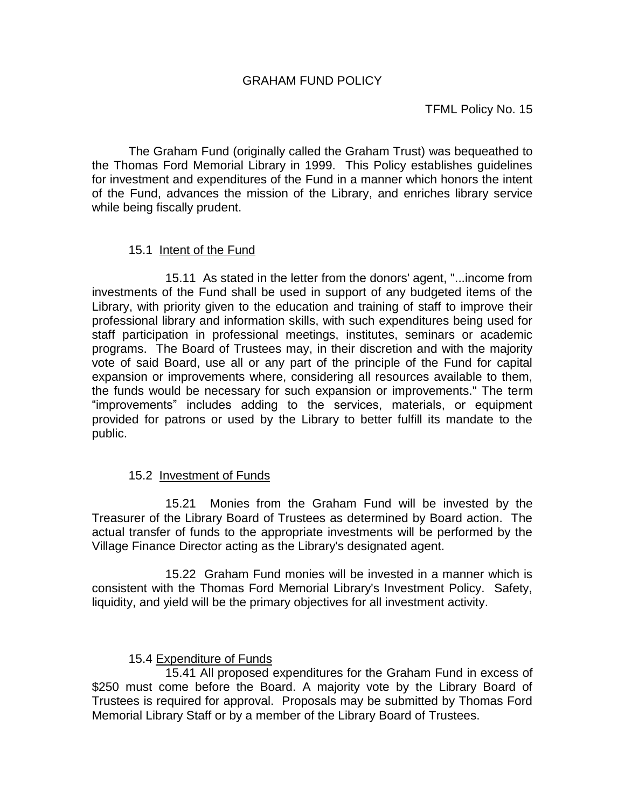The Graham Fund (originally called the Graham Trust) was bequeathed to the Thomas Ford Memorial Library in 1999. This Policy establishes guidelines for investment and expenditures of the Fund in a manner which honors the intent of the Fund, advances the mission of the Library, and enriches library service while being fiscally prudent.

## 15.1 Intent of the Fund

15.11 As stated in the letter from the donors' agent, "...income from investments of the Fund shall be used in support of any budgeted items of the Library, with priority given to the education and training of staff to improve their professional library and information skills, with such expenditures being used for staff participation in professional meetings, institutes, seminars or academic programs. The Board of Trustees may, in their discretion and with the majority vote of said Board, use all or any part of the principle of the Fund for capital expansion or improvements where, considering all resources available to them, the funds would be necessary for such expansion or improvements." The term "improvements" includes adding to the services, materials, or equipment provided for patrons or used by the Library to better fulfill its mandate to the public.

## 15.2 Investment of Funds

15.21 Monies from the Graham Fund will be invested by the Treasurer of the Library Board of Trustees as determined by Board action. The actual transfer of funds to the appropriate investments will be performed by the Village Finance Director acting as the Library's designated agent.

15.22 Graham Fund monies will be invested in a manner which is consistent with the Thomas Ford Memorial Library's Investment Policy. Safety, liquidity, and yield will be the primary objectives for all investment activity.

## 15.4 Expenditure of Funds

 15.41 All proposed expenditures for the Graham Fund in excess of \$250 must come before the Board. A majority vote by the Library Board of Trustees is required for approval. Proposals may be submitted by Thomas Ford Memorial Library Staff or by a member of the Library Board of Trustees.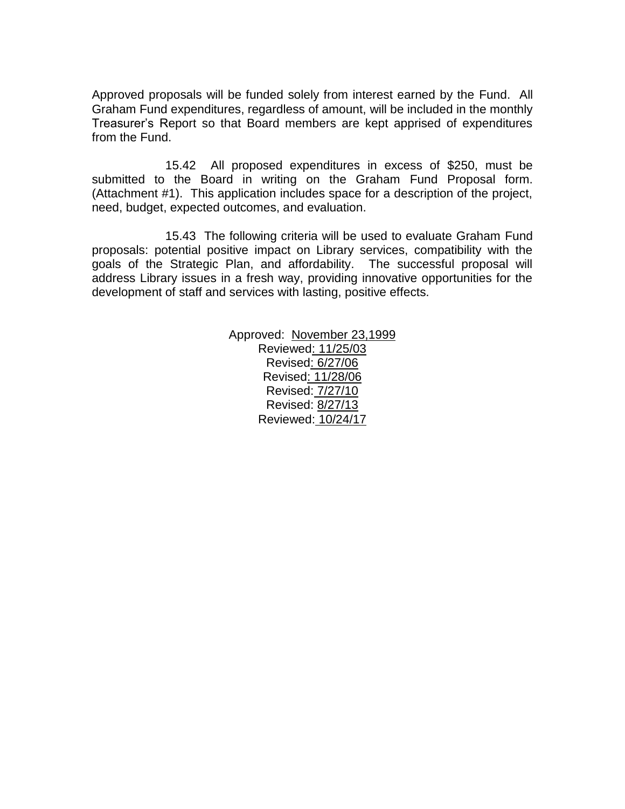Approved proposals will be funded solely from interest earned by the Fund. All Graham Fund expenditures, regardless of amount, will be included in the monthly Treasurer's Report so that Board members are kept apprised of expenditures from the Fund.

15.42 All proposed expenditures in excess of \$250, must be submitted to the Board in writing on the Graham Fund Proposal form. (Attachment #1). This application includes space for a description of the project, need, budget, expected outcomes, and evaluation.

15.43 The following criteria will be used to evaluate Graham Fund proposals: potential positive impact on Library services, compatibility with the goals of the Strategic Plan, and affordability. The successful proposal will address Library issues in a fresh way, providing innovative opportunities for the development of staff and services with lasting, positive effects.

> Approved: November 23,1999 Reviewed: 11/25/03 Revised: 6/27/06 Revised: 11/28/06 Revised: 7/27/10 Revised: 8/27/13 Reviewed: 10/24/17